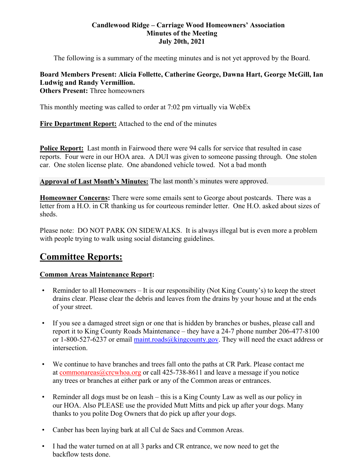#### **Candlewood Ridge – Carriage Wood Homeowners' Association Minutes of the Meeting July 20th, 2021**

The following is a summary of the meeting minutes and is not yet approved by the Board.

## **Board Members Present: Alicia Follette, Catherine George, Dawna Hart, George McGill, Ian Ludwig and Randy Vermillion.**

**Others Present: Three homeowners** 

This monthly meeting was called to order at 7:02 pm virtually via WebEx

**Fire Department Report:** Attached to the end of the minutes

**Police Report:** Last month in Fairwood there were 94 calls for service that resulted in case reports. Four were in our HOA area. A DUI was given to someone passing through. One stolen car. One stolen license plate. One abandoned vehicle towed. Not a bad month

**Approval of Last Month's Minutes:** The last month's minutes were approved.

**Homeowner Concerns:** There were some emails sent to George about postcards. There was a letter from a H.O. in CR thanking us for courteous reminder letter. One H.O. asked about sizes of sheds.

Please note: DO NOT PARK ON SIDEWALKS. It is always illegal but is even more a problem with people trying to walk using social distancing guidelines.

## **Committee Reports:**

## **Common Areas Maintenance Report:**

- Reminder to all Homeowners It is our responsibility (Not King County's) to keep the street drains clear. Please clear the debris and leaves from the drains by your house and at the ends of your street.
- If you see a damaged street sign or one that is hidden by branches or bushes, please call and report it to King County Roads Maintenance – they have a 24-7 phone number 206-477-8100 or 1-800-527-6237 or email maint.roads@kingcounty.gov. They will need the exact address or intersection.
- We continue to have branches and trees fall onto the paths at CR Park. Please contact me at commonareas@crcwhoa.org or call 425-738-8611 and leave a message if you notice any trees or branches at either park or any of the Common areas or entrances.
- Reminder all dogs must be on leash this is a King County Law as well as our policy in our HOA. Also PLEASE use the provided Mutt Mitts and pick up after your dogs. Many thanks to you polite Dog Owners that do pick up after your dogs.
- Canber has been laying bark at all Cul de Sacs and Common Areas.
- I had the water turned on at all 3 parks and CR entrance, we now need to get the backflow tests done.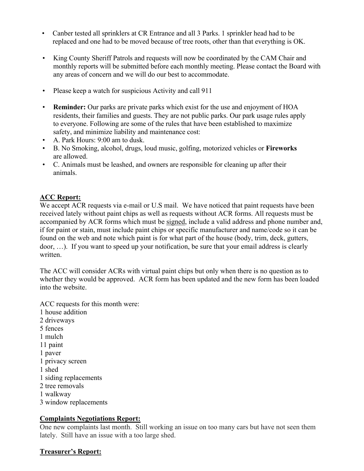- Canber tested all sprinklers at CR Entrance and all 3 Parks. 1 sprinkler head had to be replaced and one had to be moved because of tree roots, other than that everything is OK.
- King County Sheriff Patrols and requests will now be coordinated by the CAM Chair and monthly reports will be submitted before each monthly meeting. Please contact the Board with any areas of concern and we will do our best to accommodate.
- Please keep a watch for suspicious Activity and call 911
- **Reminder:** Our parks are private parks which exist for the use and enjoyment of HOA residents, their families and guests. They are not public parks. Our park usage rules apply to everyone. Following are some of the rules that have been established to maximize safety, and minimize liability and maintenance cost:
- A. Park Hours: 9:00 am to dusk.
- B. No Smoking, alcohol, drugs, loud music, golfing, motorized vehicles or **Fireworks**  are allowed.
- C. Animals must be leashed, and owners are responsible for cleaning up after their animals.

## **ACC Report:**

We accept ACR requests via e-mail or U.S mail. We have noticed that paint requests have been received lately without paint chips as well as requests without ACR forms. All requests must be accompanied by ACR forms which must be signed, include a valid address and phone number and, if for paint or stain, must include paint chips or specific manufacturer and name/code so it can be found on the web and note which paint is for what part of the house (body, trim, deck, gutters, door, …). If you want to speed up your notification, be sure that your email address is clearly written.

The ACC will consider ACRs with virtual paint chips but only when there is no question as to whether they would be approved. ACR form has been updated and the new form has been loaded into the website.

ACC requests for this month were: 1 house addition 2 driveways 5 fences 1 mulch 11 paint 1 paver 1 privacy screen 1 shed 1 siding replacements

- 2 tree removals
- 1 walkway
- 3 window replacements

## **Complaints Negotiations Report:**

One new complaints last month. Still working an issue on too many cars but have not seen them lately. Still have an issue with a too large shed.

## **Treasurer's Report:**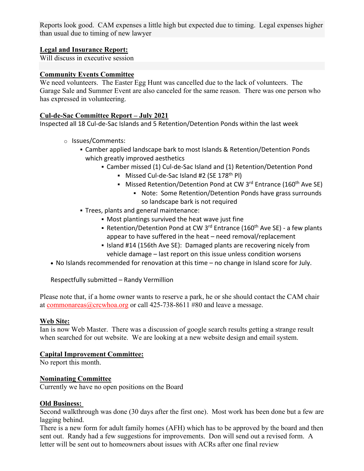Reports look good. CAM expenses a little high but expected due to timing. Legal expenses higher than usual due to timing of new lawyer

## **Legal and Insurance Report:**

Will discuss in executive session

#### **Community Events Committee**

We need volunteers. The Easter Egg Hunt was cancelled due to the lack of volunteers. The Garage Sale and Summer Event are also canceled for the same reason. There was one person who has expressed in volunteering.

#### **Cul-de-Sac Committee Report – July 2021**

Inspected all 18 Cul‐de‐Sac Islands and 5 Retention/Detention Ponds within the last week

- o Issues/Comments:
	- Camber applied landscape bark to most Islands & Retention/Detention Ponds which greatly improved aesthetics
		- Camber missed (1) Cul-de-Sac Island and (1) Retention/Detention Pond
			- Missed Cul-de-Sac Island #2 (SE 178<sup>th</sup> Pl)
			- Missed Retention/Detention Pond at CW 3<sup>rd</sup> Entrance (160<sup>th</sup> Ave SE)
				- Note: Some Retention/Detention Ponds have grass surrounds so landscape bark is not required
	- Trees, plants and general maintenance:
		- Most plantings survived the heat wave just fine
		- Retention/Detention Pond at CW 3<sup>rd</sup> Entrance (160<sup>th</sup> Ave SE) a few plants appear to have suffered in the heat – need removal/replacement
		- I Island #14 (156th Ave SE): Damaged plants are recovering nicely from vehicle damage – last report on this issue unless condition worsens
- No Islands recommended for renovation at this time no change in Island score for July.

Respectfully submitted – Randy Vermillion

Please note that, if a home owner wants to reserve a park, he or she should contact the CAM chair at commonareas  $@$ crcwhoa.org or call 425-738-8611 #80 and leave a message.

#### **Web Site:**

Ian is now Web Master. There was a discussion of google search results getting a strange result when searched for out website. We are looking at a new website design and email system.

#### **Capital Improvement Committee:**

No report this month.

#### **Nominating Committee**

Currently we have no open positions on the Board

#### **Old Business:**

Second walkthrough was done (30 days after the first one). Most work has been done but a few are lagging behind.

There is a new form for adult family homes (AFH) which has to be approved by the board and then sent out. Randy had a few suggestions for improvements. Don will send out a revised form. A letter will be sent out to homeowners about issues with ACRs after one final review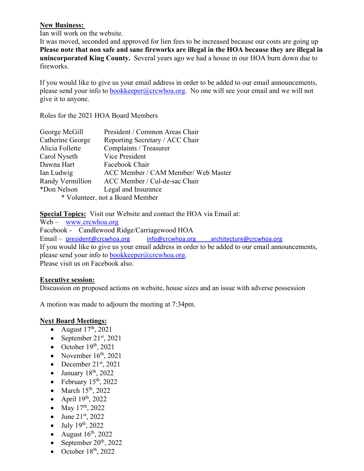#### **New Business:**

Ian will work on the website.

It was moved, seconded and approved for lien fees to be increased because our costs are going up **Please note that non safe and sane fireworks are illegal in the HOA because they are illegal in unincorporated King County.** Several years ago we had a house in our HOA burn down due to fireworks.

If you would like to give us your email address in order to be added to our email announcements, please send your info to bookkeeper@crcwhoa.org. No one will see your email and we will not give it to anyone.

Roles for the 2021 HOA Board Members

| George McGill                   | President / Common Areas Chair      |
|---------------------------------|-------------------------------------|
| Catherine George                | Reporting Secretary / ACC Chair     |
| Alicia Follette                 | Complaints / Treasurer              |
| Carol Nyseth                    | Vice President                      |
| Dawna Hart                      | Facebook Chair                      |
| Ian Ludwig                      | ACC Member / CAM Member/ Web Master |
| Randy Vermillion                | ACC Member / Cul-de-sac Chair       |
| *Don Nelson                     | Legal and Insurance                 |
| * Volunteer, not a Board Member |                                     |

**Special Topics:** Visit our Website and contact the HOA via Email at:

Web – www.crcwhoa.org Facebook - Candlewood Ridge/Carriagewood HOA Email – president@crcwhoa.org info@crcwhoa.org architecture@crcwhoa.org If you would like to give us your email address in order to be added to our email announcements, please send your info to bookkeeper@crcwhoa.org. Please visit us on Facebook also.

## **Executive session:**

Discussion on proposed actions on website, house sizes and an issue with adverse possession

A motion was made to adjourn the meeting at 7:34pm.

## **Next Board Meetings:**

- August  $17<sup>th</sup>$ , 2021
- September  $21<sup>st</sup>$ , 2021
- October  $19<sup>th</sup>$ , 2021
- November  $16<sup>th</sup>$ , 2021
- December  $21<sup>st</sup>$ , 2021
- $\bullet$  January 18<sup>th</sup>, 2022
- February  $15<sup>th</sup>$ , 2022
- $\bullet$  March 15<sup>th</sup>, 2022
- April  $19<sup>th</sup>$ , 2022
- May  $17^{th}$ , 2022
- June  $21^{st}$ , 2022
- $\bullet$  July 19<sup>th</sup>, 2022
- August  $16^{th}$ , 2022
- September  $20^{th}$ , 2022
- October  $18<sup>th</sup>$ , 2022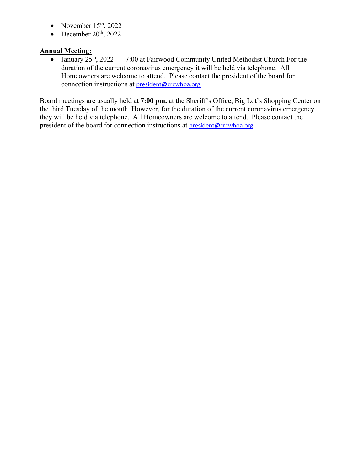- November  $15<sup>th</sup>$ , 2022
- December  $20<sup>th</sup>$ , 2022

## **Annual Meeting:**

• January  $25<sup>th</sup>$ ,  $2022$  7:00 at Fairwood Community United Methodist Church For the duration of the current coronavirus emergency it will be held via telephone. All Homeowners are welcome to attend. Please contact the president of the board for connection instructions at president@crcwhoa.org

Board meetings are usually held at **7:00 pm.** at the Sheriff's Office, Big Lot's Shopping Center on the third Tuesday of the month. However, for the duration of the current coronavirus emergency they will be held via telephone. All Homeowners are welcome to attend. Please contact the president of the board for connection instructions at president@crcwhoa.org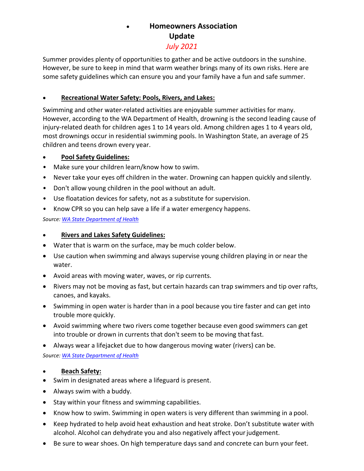# **Homeowners Association Update**

## *July 2021*

Summer provides plenty of opportunities to gather and be active outdoors in the sunshine. However, be sure to keep in mind that warm weather brings many of its own risks. Here are some safety guidelines which can ensure you and your family have a fun and safe summer.

## **Recreational Water Safety: Pools, Rivers, and Lakes:**

Swimming and other water‐related activities are enjoyable summer activities for many. However, according to the WA Department of Health, drowning is the second leading cause of injury‐related death for children ages 1 to 14 years old. Among children ages 1 to 4 years old, most drownings occur in residential swimming pools. In Washington State, an average of 25 children and teens drown every year.

## **Pool Safety Guidelines:**

- Make sure your children learn/know how to swim.
- Never take your eyes off children in the water. Drowning can happen quickly and silently.
- Don't allow young children in the pool without an adult.
- Use floatation devices for safety, not as a substitute for supervision.
- Know CPR so you can help save a life if a water emergency happens.

*Source: WA State Department of Health*

## **Rivers and Lakes Safety Guidelines:**

- Water that is warm on the surface, may be much colder below.
- Use caution when swimming and always supervise young children playing in or near the water.
- Avoid areas with moving water, waves, or rip currents.
- Rivers may not be moving as fast, but certain hazards can trap swimmers and tip over rafts, canoes, and kayaks.
- Swimming in open water is harder than in a pool because you tire faster and can get into trouble more quickly.
- Avoid swimming where two rivers come together because even good swimmers can get into trouble or drown in currents that don't seem to be moving that fast.
- Always wear a lifejacket due to how dangerous moving water (rivers) can be.

## *Source: WA State Department of Health*

## **Beach Safety:**

- Swim in designated areas where a lifeguard is present.
- Always swim with a buddy.
- Stay within your fitness and swimming capabilities.
- Know how to swim. Swimming in open waters is very different than swimming in a pool.
- Keep hydrated to help avoid heat exhaustion and heat stroke. Don't substitute water with alcohol. Alcohol can dehydrate you and also negatively affect your judgement.
- Be sure to wear shoes. On high temperature days sand and concrete can burn your feet.